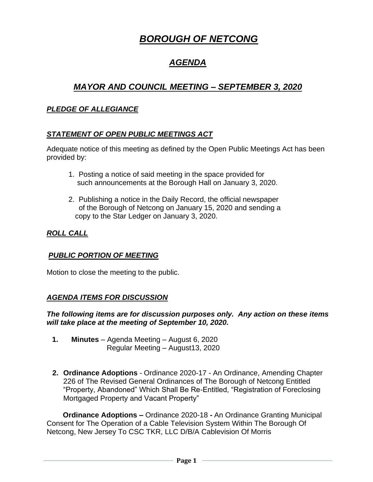# *BOROUGH OF NETCONG*

## *AGENDA*

### *MAYOR AND COUNCIL MEETING – SEPTEMBER 3, 2020*

#### *PLEDGE OF ALLEGIANCE*

#### *STATEMENT OF OPEN PUBLIC MEETINGS ACT*

Adequate notice of this meeting as defined by the Open Public Meetings Act has been provided by:

- 1. Posting a notice of said meeting in the space provided for such announcements at the Borough Hall on January 3, 2020.
- 2. Publishing a notice in the Daily Record, the official newspaper of the Borough of Netcong on January 15, 2020 and sending a copy to the Star Ledger on January 3, 2020.

#### *ROLL CALL*

#### *PUBLIC PORTION OF MEETING*

Motion to close the meeting to the public.

#### *AGENDA ITEMS FOR DISCUSSION*

*The following items are for discussion purposes only. Any action on these items will take place at the meeting of September 10, 2020.*

- **1. Minutes** Agenda Meeting August 6, 2020 Regular Meeting – August13, 2020
- **2. Ordinance Adoptions** Ordinance 2020-17 An Ordinance, Amending Chapter 226 of The Revised General Ordinances of The Borough of Netcong Entitled "Property, Abandoned" Which Shall Be Re-Entitled, "Registration of Foreclosing Mortgaged Property and Vacant Property"

 **Ordinance Adoptions –** Ordinance 2020-18 **-** An Ordinance Granting Municipal Consent for The Operation of a Cable Television System Within The Borough Of Netcong, New Jersey To CSC TKR, LLC D/B/A Cablevision Of Morris